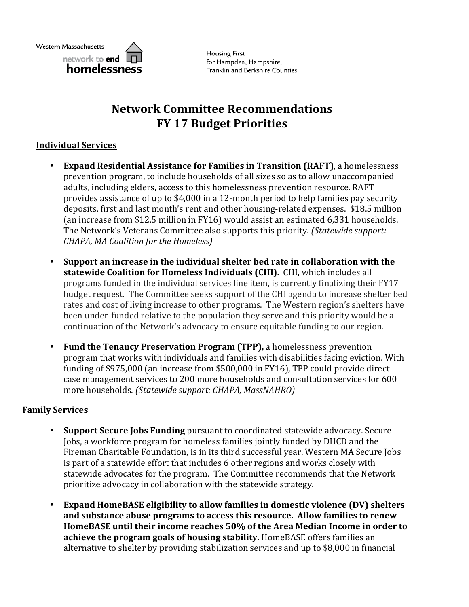

**Housing First** for Hampden, Hampshire, Franklin and Berkshire Counties

# **Network Committee Recommendations FY 17 Budget Priorities**

## **Individual Services**

- **Expand Residential Assistance for Families in Transition (RAFT)**, a homelessness prevention program, to include households of all sizes so as to allow unaccompanied adults, including elders, access to this homelessness prevention resource. RAFT provides assistance of up to \$4,000 in a 12-month period to help families pay security deposits, first and last month's rent and other housing-related expenses. \$18.5 million (an increase from \$12.5 million in FY16) would assist an estimated  $6.331$  households. The Network's Veterans Committee also supports this priority. *(Statewide support: CHAPA, MA Coalition for the Homeless)*
- Support an increase in the individual shelter bed rate in collaboration with the statewide Coalition for Homeless Individuals (CHI). CHI, which includes all programs funded in the individual services line item, is currently finalizing their FY17 budget request. The Committee seeks support of the CHI agenda to increase shelter bed rates and cost of living increase to other programs. The Western region's shelters have been under-funded relative to the population they serve and this priority would be a continuation of the Network's advocacy to ensure equitable funding to our region.
- Fund the Tenancy Preservation Program (TPP), a homelessness prevention program that works with individuals and families with disabilities facing eviction. With funding of \$975,000 (an increase from \$500,000 in FY16), TPP could provide direct case management services to 200 more households and consultation services for 600 more households. *(Statewide support: CHAPA, MassNAHRO)*

#### **Family Services**

- **Support Secure Jobs Funding** pursuant to coordinated statewide advocacy. Secure Jobs, a workforce program for homeless families jointly funded by DHCD and the Fireman Charitable Foundation, is in its third successful year. Western MA Secure Jobs is part of a statewide effort that includes 6 other regions and works closely with statewide advocates for the program. The Committee recommends that the Network prioritize advocacy in collaboration with the statewide strategy.
- **Expand HomeBASE eligibility to allow families in domestic violence (DV) shelters** and substance abuse programs to access this resource. Allow families to renew HomeBASE until their income reaches 50% of the Area Median Income in order to **achieve the program goals of housing stability.** HomeBASE offers families an alternative to shelter by providing stabilization services and up to \$8,000 in financial